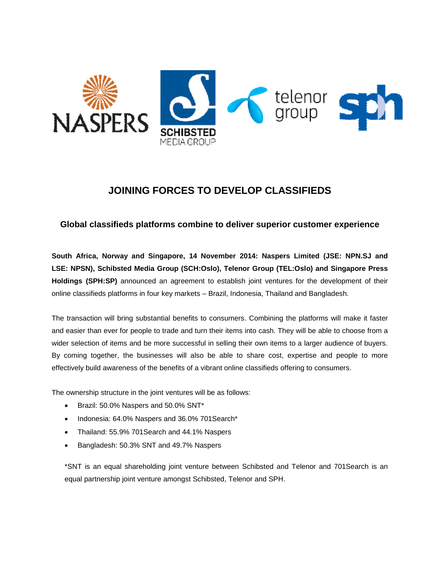

# **JOINING FORCES TO DEVELOP CLASSIFIEDS**

# **Global classifieds platforms combine to deliver superior customer experience**

**South Africa, Norway and Singapore, 14 November 2014: Naspers Limited (JSE: NPN.SJ and LSE: NPSN), Schibsted Media Group (SCH:Oslo), Telenor Group (TEL:Oslo) and Singapore Press Holdings (SPH:SP)** announced an agreement to establish joint ventures for the development of their online classifieds platforms in four key markets – Brazil, Indonesia, Thailand and Bangladesh.

The transaction will bring substantial benefits to consumers. Combining the platforms will make it faster and easier than ever for people to trade and turn their items into cash. They will be able to choose from a wider selection of items and be more successful in selling their own items to a larger audience of buyers. By coming together, the businesses will also be able to share cost, expertise and people to more effectively build awareness of the benefits of a vibrant online classifieds offering to consumers.

The ownership structure in the joint ventures will be as follows:

- Brazil: 50.0% Naspers and 50.0% SNT\*
- Indonesia: 64.0% Naspers and 36.0% 701Search\*
- Thailand: 55.9% 701Search and 44.1% Naspers
- Bangladesh: 50.3% SNT and 49.7% Naspers

\*SNT is an equal shareholding joint venture between Schibsted and Telenor and 701Search is an equal partnership joint venture amongst Schibsted, Telenor and SPH.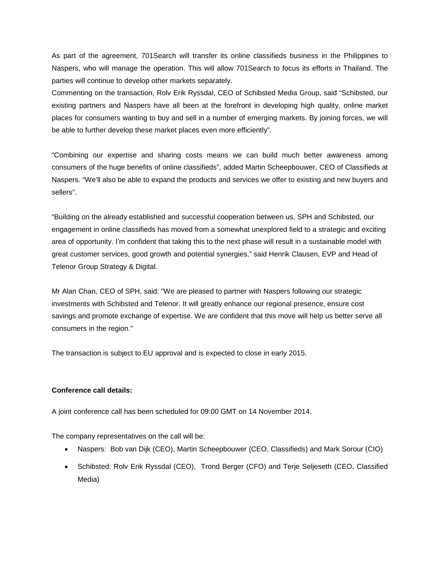As part of the agreement, 701Search will transfer its online classifieds business in the Philippines to Naspers, who will manage the operation. This will allow 701Search to focus its efforts in Thailand. The parties will continue to develop other markets separately.

Commenting on the transaction, Rolv Erik Ryssdal, CEO of Schibsted Media Group, said "Schibsted, our existing partners and Naspers have all been at the forefront in developing high quality, online market places for consumers wanting to buy and sell in a number of emerging markets. By joining forces, we will be able to further develop these market places even more efficiently".

"Combining our expertise and sharing costs means we can build much better awareness among consumers of the huge benefits of online classifieds", added Martin Scheepbouwer, CEO of Classifieds at Naspers. "We'll also be able to expand the products and services we offer to existing and new buyers and sellers".

"Building on the already established and successful cooperation between us, SPH and Schibsted, our engagement in online classifieds has moved from a somewhat unexplored field to a strategic and exciting area of opportunity. I'm confident that taking this to the next phase will result in a sustainable model with great customer services, good growth and potential synergies," said Henrik Clausen, EVP and Head of Telenor Group Strategy & Digital.

Mr Alan Chan, CEO of SPH, said: "We are pleased to partner with Naspers following our strategic investments with Schibsted and Telenor. It will greatly enhance our regional presence, ensure cost savings and promote exchange of expertise. We are confident that this move will help us better serve all consumers in the region."

The transaction is subject to EU approval and is expected to close in early 2015.

#### **Conference call details:**

A joint conference call has been scheduled for 09:00 GMT on 14 November 2014.

The company representatives on the call will be:

- Naspers: Bob van Dijk (CEO), Martin Scheepbouwer (CEO, Classifieds) and Mark Sorour (CIO)
- Schibsted: Rolv Erik Ryssdal (CEO), Trond Berger (CFO) and Terje Seljeseth (CEO, Classified Media)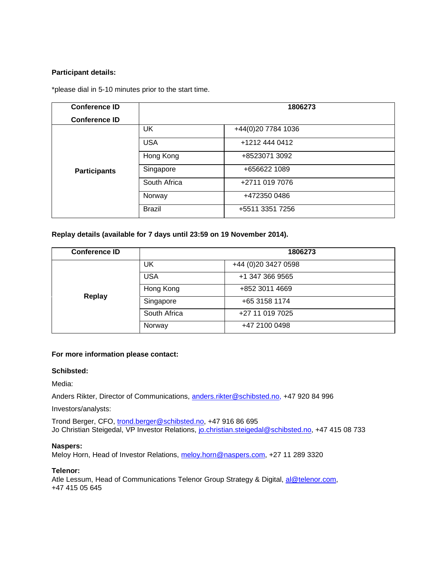#### **Participant details:**

\*please dial in 5-10 minutes prior to the start time.

| <b>Conference ID</b> | 1806273       |                    |
|----------------------|---------------|--------------------|
| <b>Conference ID</b> |               |                    |
|                      | <b>UK</b>     | +44(0)20 7784 1036 |
|                      | <b>USA</b>    | +1212 444 0412     |
|                      | Hong Kong     | +8523071 3092      |
| <b>Participants</b>  | Singapore     | +656622 1089       |
|                      | South Africa  | +2711 019 7076     |
|                      | Norway        | +472350 0486       |
|                      | <b>Brazil</b> | +5511 3351 7256    |

## **Replay details (available for 7 days until 23:59 on 19 November 2014).**

| <b>Conference ID</b> | 1806273      |                      |
|----------------------|--------------|----------------------|
| Replay               | UK           | +44 (0) 20 3427 0598 |
|                      | <b>USA</b>   | +1 347 366 9565      |
|                      | Hong Kong    | +852 3011 4669       |
|                      | Singapore    | +65 3158 1174        |
|                      | South Africa | +27 11 019 7025      |
|                      | Norway       | +47 2100 0498        |

#### **For more information please contact:**

#### **Schibsted:**

Media:

Anders Rikter, Director of Communications, [anders.rikter@schibsted.no,](mailto:anders.rikter@schibsted.no) +47 920 84 996

Investors/analysts:

Trond Berger, CFO, trond.berger@schibsted.no, +47 916 86 695 Jo Christian Steigedal, VP Investor Relations, [jo.christian.steigedal@schibsted.no,](mailto:jo.christian.steigedal@schibsted.no) +47 415 08 733

#### **Naspers:**

Meloy Horn, Head of Investor Relations, [meloy.horn@naspers.com,](mailto:meloy.horn@naspers.com) +27 11 289 3320

### **Telenor:**

Atle Lessum, Head of Communications Telenor Group Strategy & Digital, [al@telenor.com,](mailto:al@telenor.com) +47 415 05 645